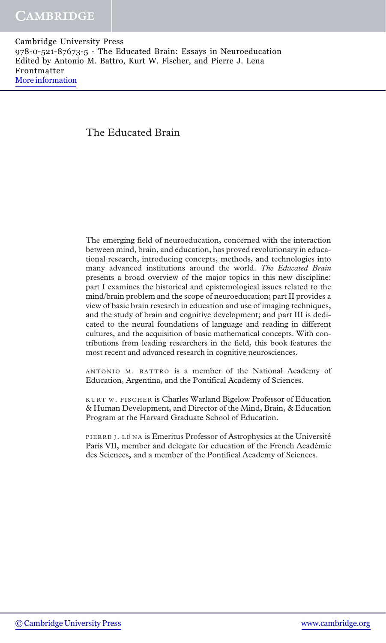### The Educated Brain

The emerging field of neuroeducation, concerned with the interaction between mind, brain, and education, has proved revolutionary in educational research, introducing concepts, methods, and technologies into many advanced institutions around the world. The Educated Brain presents a broad overview of the major topics in this new discipline: part I examines the historical and epistemological issues related to the mind/brain problem and the scope of neuroeducation; part II provides a view of basic brain research in education and use of imaging techniques, and the study of brain and cognitive development; and part III is dedicated to the neural foundations of language and reading in different cultures, and the acquisition of basic mathematical concepts. With contributions from leading researchers in the field, this book features the most recent and advanced research in cognitive neurosciences.

ANTONIO M. BATTRO is a member of the National Academy of Education, Argentina, and the Pontifical Academy of Sciences.

KURT W. FISCHER is Charles Warland Bigelow Professor of Education & Human Development, and Director of the Mind, Brain, & Education Program at the Harvard Graduate School of Education.

PIERRE J. LÉNA is Emeritus Professor of Astrophysics at the Université Paris VII, member and delegate for education of the French Académie des Sciences, and a member of the Pontifical Academy of Sciences.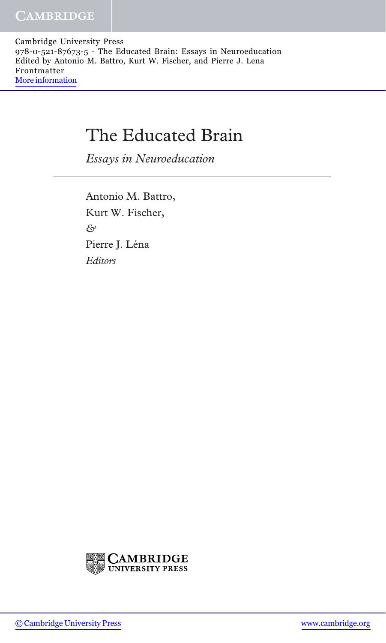# The Educated Brain

Essays in Neuroeducation

Antonio M. Battro, Kurt W. Fischer, & Pierre J. Léna Editors

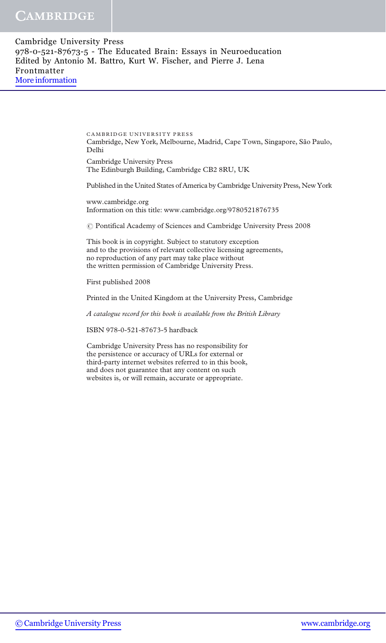## **CAMBRIDGE**

Cambridge University Press 978-0-521-87673-5 - The Educated Brain: Essays in Neuroeducation Edited by Antonio M. Battro, Kurt W. Fischer, and Pierre J. Lena Frontmatter [More information](http://www.cambridge.org/0521876737)

> CAMBRIDGE UNIVERSITY PRESS Cambridge, New York, Melbourne, Madrid, Cape Town, Singapore, São Paulo, Delhi

Cambridge University Press The Edinburgh Building, Cambridge CB2 8RU, UK

Published in the United States of America by Cambridge University Press, New York

www.cambridge.org Information on this title: www.cambridge.org/9780521876735

 $\odot$  Pontifical Academy of Sciences and Cambridge University Press 2008

This book is in copyright. Subject to statutory exception and to the provisions of relevant collective licensing agreements, no reproduction of any part may take place without the written permission of Cambridge University Press.

First published 2008

Printed in the United Kingdom at the University Press, Cambridge

A catalogue record for this book is available from the British Library

ISBN 978-0-521-87673-5 hardback

Cambridge University Press has no responsibility for the persistence or accuracy of URLs for external or third-party internet websites referred to in this book, and does not guarantee that any content on such websites is, or will remain, accurate or appropriate.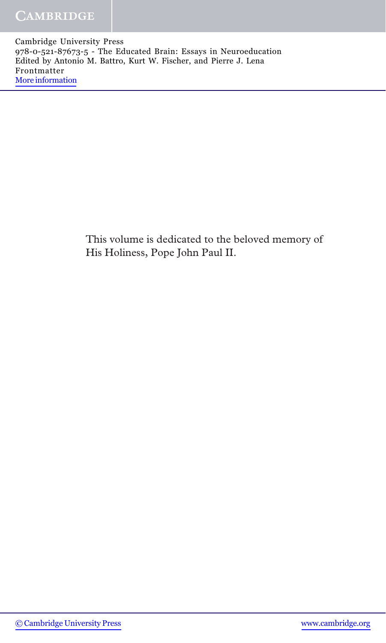> This volume is dedicated to the beloved memory of His Holiness, Pope John Paul II.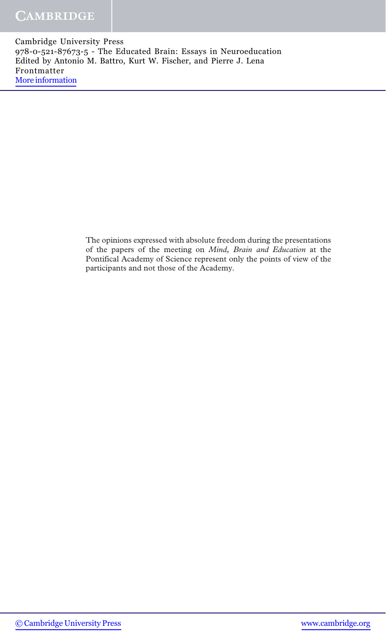> The opinions expressed with absolute freedom during the presentations of the papers of the meeting on Mind, Brain and Education at the Pontifical Academy of Science represent only the points of view of the participants and not those of the Academy.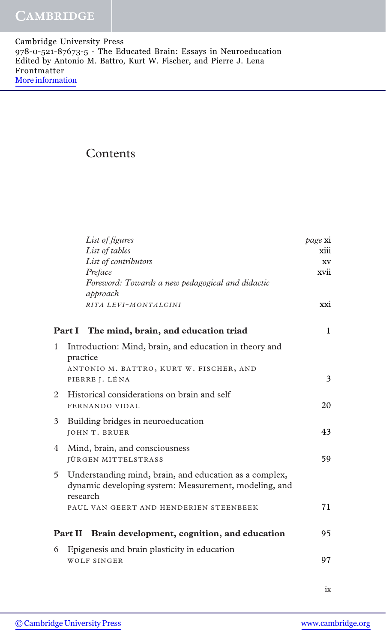# **Contents**

|                | List of figures<br>List of tables<br>List of contributors<br>Preface<br>Foreword: Towards a new pedagogical and didactic<br>approach<br>RITA LEVI-MONTALCINI | page xi<br>X111<br>XV.<br>xvii<br>xxi |
|----------------|--------------------------------------------------------------------------------------------------------------------------------------------------------------|---------------------------------------|
|                | Part I The mind, brain, and education triad                                                                                                                  | 1                                     |
| $\mathbf{1}$   | Introduction: Mind, brain, and education in theory and<br>practice<br>ANTONIO M. BATTRO, KURT W. FISCHER, AND                                                |                                       |
|                | PIERRE J. LÉNA                                                                                                                                               | 3                                     |
| $\overline{2}$ | Historical considerations on brain and self<br>FERNANDO VIDAL                                                                                                | 20                                    |
| 3 <sup>1</sup> | Building bridges in neuroeducation<br><b>JOHN T. BRUER</b>                                                                                                   | 43                                    |
| $\overline{4}$ | Mind, brain, and consciousness<br><b>JÜRGEN MITTELSTRASS</b>                                                                                                 | 59                                    |
| 5              | Understanding mind, brain, and education as a complex,<br>dynamic developing system: Measurement, modeling, and                                              |                                       |
|                | research<br>PAUL VAN GEERT AND HENDERIEN STEENBEEK                                                                                                           | 71                                    |
|                | Part II Brain development, cognition, and education                                                                                                          | 95                                    |
| 6              | Epigenesis and brain plasticity in education<br>WOLF SINGER                                                                                                  | 97                                    |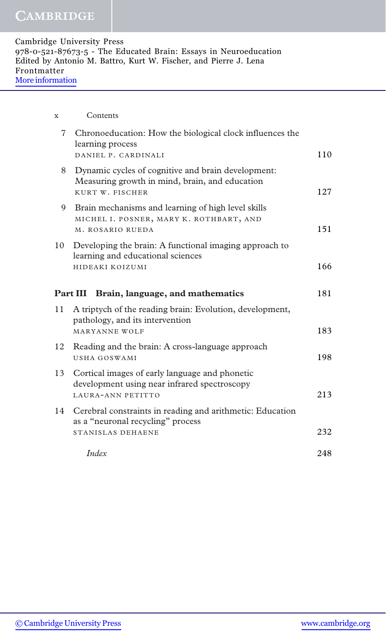x Contents

| Cambridge University Press                                         |
|--------------------------------------------------------------------|
| $978-0-521-87673-5$ - The Educated Brain: Essays in Neuroeducation |
| Edited by Antonio M. Battro, Kurt W. Fischer, and Pierre J. Lena   |
| Frontmatter                                                        |
| More information                                                   |

| 7                                                   | Chronoeducation: How the biological clock influences the<br>learning process<br>DANIEL P. CARDINALI                     | 110 |
|-----------------------------------------------------|-------------------------------------------------------------------------------------------------------------------------|-----|
| 8                                                   | Dynamic cycles of cognitive and brain development:<br>Measuring growth in mind, brain, and education<br>KURT W. FISCHER | 127 |
| 9                                                   | Brain mechanisms and learning of high level skills<br>MICHEL I. POSNER, MARY K. ROTHBART, AND<br>M. ROSARIO RUEDA       | 151 |
| 10                                                  | Developing the brain: A functional imaging approach to<br>learning and educational sciences<br><b>HIDEAKI KOIZUMI</b>   | 166 |
| Brain, language, and mathematics<br><b>Part III</b> |                                                                                                                         | 181 |
| 11                                                  | A triptych of the reading brain: Evolution, development,<br>pathology, and its intervention<br>MARYANNE WOLF            | 183 |
| 12                                                  | Reading and the brain: A cross-language approach<br>USHA GOSWAMI                                                        | 198 |
| 13                                                  | Cortical images of early language and phonetic<br>development using near infrared spectroscopy<br>LAURA-ANN PETITTO     | 213 |
| 14                                                  | Cerebral constraints in reading and arithmetic: Education<br>as a "neuronal recycling" process<br>STANISLAS DEHAENE     | 232 |
|                                                     | Index                                                                                                                   | 248 |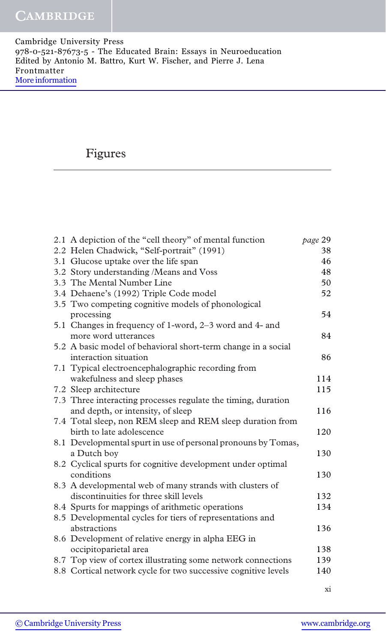# Figures

| 2.1 A depiction of the "cell theory" of mental function        | page 29 |
|----------------------------------------------------------------|---------|
| 2.2 Helen Chadwick, "Self-portrait" (1991)                     | 38      |
| 3.1 Glucose uptake over the life span                          | 46      |
| 3.2 Story understanding /Means and Voss                        | 48      |
| 3.3 The Mental Number Line                                     | 50      |
| 3.4 Dehaene's (1992) Triple Code model                         | 52      |
| 3.5 Two competing cognitive models of phonological             |         |
| processing                                                     | 54      |
| 5.1 Changes in frequency of 1-word, 2-3 word and 4- and        |         |
| more word utterances                                           | 84      |
| 5.2 A basic model of behavioral short-term change in a social  |         |
| interaction situation                                          | 86      |
| 7.1 Typical electroencephalographic recording from             |         |
| wakefulness and sleep phases                                   | 114     |
| 7.2 Sleep architecture                                         | 115     |
| 7.3 Three interacting processes regulate the timing, duration  |         |
| and depth, or intensity, of sleep                              | 116     |
| 7.4 Total sleep, non REM sleep and REM sleep duration from     |         |
| birth to late adolescence                                      | 120     |
| 8.1 Developmental spurt in use of personal pronouns by Tomas,  |         |
| a Dutch boy                                                    | 130     |
| 8.2 Cyclical spurts for cognitive development under optimal    |         |
| conditions                                                     | 130     |
| 8.3 A developmental web of many strands with clusters of       |         |
| discontinuities for three skill levels                         | 132     |
| 8.4 Spurts for mappings of arithmetic operations               | 134     |
| 8.5 Developmental cycles for tiers of representations and      |         |
| abstractions                                                   | 136     |
| 8.6 Development of relative energy in alpha EEG in             |         |
| occipitoparietal area                                          | 138     |
| 8.7 Top view of cortex illustrating some network connections   | 139     |
| 8.8 Cortical network cycle for two successive cognitive levels | 140     |
|                                                                |         |

xi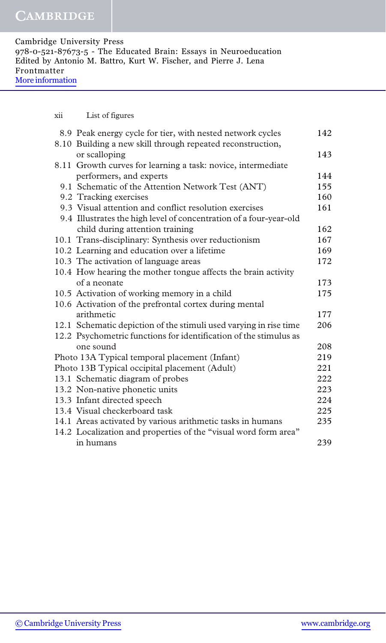| Cambridge University Press                                       |
|------------------------------------------------------------------|
| 978-0-521-87673-5 - The Educated Brain: Essays in Neuroeducation |
| Edited by Antonio M. Battro, Kurt W. Fischer, and Pierre J. Lena |
| Frontmatter                                                      |
| More information                                                 |

| X11 | List of figures |  |
|-----|-----------------|--|
|-----|-----------------|--|

| 8.9 Peak energy cycle for tier, with nested network cycles         | 142 |
|--------------------------------------------------------------------|-----|
| 8.10 Building a new skill through repeated reconstruction,         |     |
| or scalloping                                                      | 143 |
| 8.11 Growth curves for learning a task: novice, intermediate       |     |
| performers, and experts                                            | 144 |
| 9.1 Schematic of the Attention Network Test (ANT)                  | 155 |
| 9.2 Tracking exercises                                             | 160 |
| 9.3 Visual attention and conflict resolution exercises             | 161 |
| 9.4 Illustrates the high level of concentration of a four-year-old |     |
| child during attention training                                    | 162 |
| 10.1 Trans-disciplinary: Synthesis over reductionism               | 167 |
| 10.2 Learning and education over a lifetime                        | 169 |
| 10.3 The activation of language areas                              | 172 |
| 10.4 How hearing the mother tongue affects the brain activity      |     |
| of a neonate                                                       | 173 |
| 10.5 Activation of working memory in a child                       | 175 |
| 10.6 Activation of the prefrontal cortex during mental             |     |
| arithmetic                                                         | 177 |
| 12.1 Schematic depiction of the stimuli used varying in rise time  | 206 |
| 12.2 Psychometric functions for identification of the stimulus as  |     |
| one sound                                                          | 208 |
| Photo 13A Typical temporal placement (Infant)                      | 219 |
| Photo 13B Typical occipital placement (Adult)                      | 221 |
| 13.1 Schematic diagram of probes                                   | 222 |
| 13.2 Non-native phonetic units                                     | 223 |
| 13.3 Infant directed speech                                        | 224 |
| 13.4 Visual checkerboard task                                      | 225 |
| 14.1 Areas activated by various arithmetic tasks in humans         | 235 |
| 14.2 Localization and properties of the "visual word form area"    |     |
| in humans                                                          | 239 |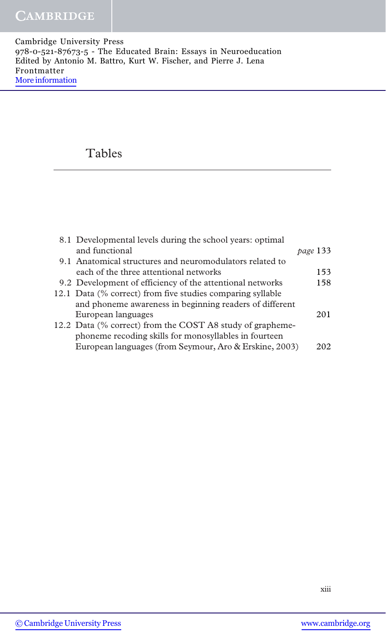# Tables

| 8.1 Developmental levels during the school years: optimal  |          |
|------------------------------------------------------------|----------|
| and functional                                             | page 133 |
| 9.1 Anatomical structures and neuromodulators related to   |          |
| each of the three attentional networks                     | 153      |
| 9.2 Development of efficiency of the attentional networks  | 158      |
| 12.1 Data (% correct) from five studies comparing syllable |          |
| and phoneme awareness in beginning readers of different    |          |
| European languages                                         | 201      |
| 12.2 Data (% correct) from the COST A8 study of grapheme-  |          |
| phoneme recoding skills for monosyllables in fourteen      |          |
| European languages (from Seymour, Aro & Erskine, 2003)     | 202      |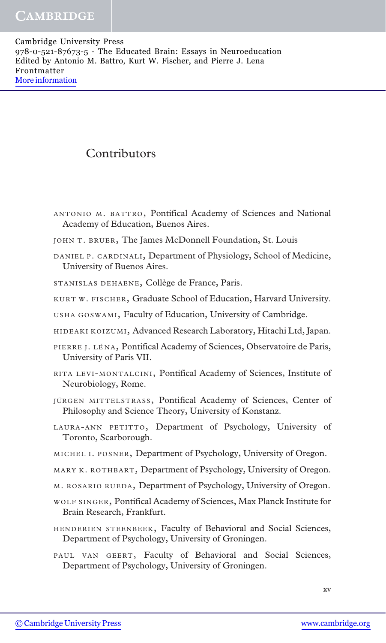# **Contributors**

- ANTONIO M. BATTRO, Pontifical Academy of Sciences and National Academy of Education, Buenos Aires.
- JOHN T. BRUER, The James McDonnell Foundation, St. Louis
- DANIEL P. CARDINALI, Department of Physiology, School of Medicine, University of Buenos Aires.
- STANISLAS DEHAENE, Collège de France, Paris.
- KURT W. FISCHER , Graduate School of Education, Harvard University.
- USHA GOSWAMI, Faculty of Education, University of Cambridge.
- HIDEAKI KOIZUMI, Advanced Research Laboratory, Hitachi Ltd, Japan.
- PIERRE J. LÉNA, Pontifical Academy of Sciences, Observatoire de Paris, University of Paris VII.
- RITA LEVI-MONTALCINI, Pontifical Academy of Sciences, Institute of Neurobiology, Rome.
- JÜRGEN MITTELSTRASS, Pontifical Academy of Sciences, Center of Philosophy and Science Theory, University of Konstanz.
- LAURA-ANN PETITTO, Department of Psychology, University of Toronto, Scarborough.
- MICHEL I. POSNER, Department of Psychology, University of Oregon.
- MARY K. ROTHBART, Department of Psychology, University of Oregon.
- M. ROSARIO RUEDA, Department of Psychology, University of Oregon.
- WOLF SINGER, Pontifical Academy of Sciences, Max Planck Institute for Brain Research, Frankfurt.
- HENDERIEN STEENBEEK, Faculty of Behavioral and Social Sciences, Department of Psychology, University of Groningen.
- PAUL VAN GEERT, Faculty of Behavioral and Social Sciences, Department of Psychology, University of Groningen.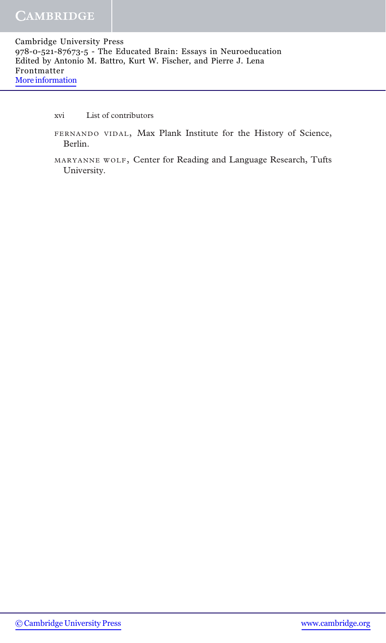xvi List of contributors

- FERNANDO VIDAL, Max Plank Institute for the History of Science, Berlin.
- MARYANNE WOLF, Center for Reading and Language Research, Tufts University.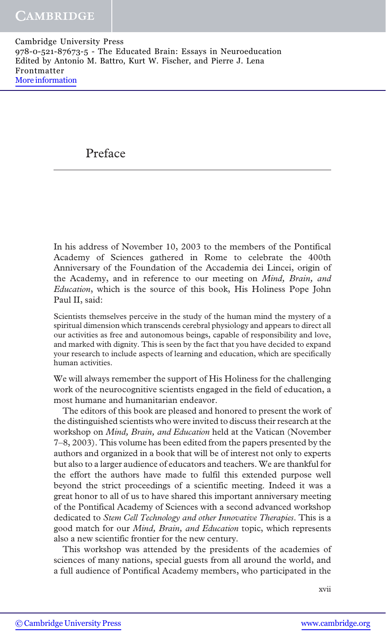### Preface

In his address of November 10, 2003 to the members of the Pontifical Academy of Sciences gathered in Rome to celebrate the 400th Anniversary of the Foundation of the Accademia dei Lincei, origin of the Academy, and in reference to our meeting on Mind, Brain, and Education, which is the source of this book, His Holiness Pope John Paul II, said:

Scientists themselves perceive in the study of the human mind the mystery of a spiritual dimension which transcends cerebral physiology and appears to direct all our activities as free and autonomous beings, capable of responsibility and love, and marked with dignity. This is seen by the fact that you have decided to expand your research to include aspects of learning and education, which are specifically human activities.

We will always remember the support of His Holiness for the challenging work of the neurocognitive scientists engaged in the field of education, a most humane and humanitarian endeavor.

The editors of this book are pleased and honored to present the work of the distinguished scientists who were invited to discuss their research at the workshop on Mind, Brain, and Education held at the Vatican (November 7–8, 2003). This volume has been edited from the papers presented by the authors and organized in a book that will be of interest not only to experts but also to a larger audience of educators and teachers. We are thankful for the effort the authors have made to fulfil this extended purpose well beyond the strict proceedings of a scientific meeting. Indeed it was a great honor to all of us to have shared this important anniversary meeting of the Pontifical Academy of Sciences with a second advanced workshop dedicated to Stem Cell Technology and other Innovative Therapies. This is a good match for our Mind, Brain, and Education topic, which represents also a new scientific frontier for the new century.

This workshop was attended by the presidents of the academies of sciences of many nations, special guests from all around the world, and a full audience of Pontifical Academy members, who participated in the

xvii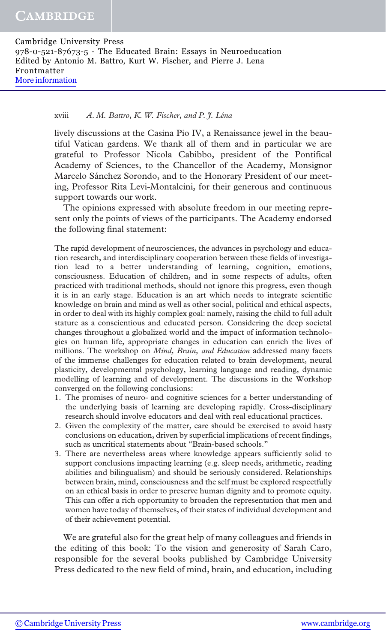### xviii A. M. Battro, K. W. Fischer, and P. J. Léna

lively discussions at the Casina Pio IV, a Renaissance jewel in the beautiful Vatican gardens. We thank all of them and in particular we are grateful to Professor Nicola Cabibbo, president of the Pontifical Academy of Sciences, to the Chancellor of the Academy, Monsignor Marcelo Sánchez Sorondo, and to the Honorary President of our meeting, Professor Rita Levi-Montalcini, for their generous and continuous support towards our work.

The opinions expressed with absolute freedom in our meeting represent only the points of views of the participants. The Academy endorsed the following final statement:

The rapid development of neurosciences, the advances in psychology and education research, and interdisciplinary cooperation between these fields of investigation lead to a better understanding of learning, cognition, emotions, consciousness. Education of children, and in some respects of adults, often practiced with traditional methods, should not ignore this progress, even though it is in an early stage. Education is an art which needs to integrate scientific knowledge on brain and mind as well as other social, political and ethical aspects, in order to deal with its highly complex goal: namely, raising the child to full adult stature as a conscientious and educated person. Considering the deep societal changes throughout a globalized world and the impact of information technologies on human life, appropriate changes in education can enrich the lives of millions. The workshop on *Mind*, Brain, and Education addressed many facets of the immense challenges for education related to brain development, neural plasticity, developmental psychology, learning language and reading, dynamic modelling of learning and of development. The discussions in the Workshop converged on the following conclusions:

- 1. The promises of neuro- and cognitive sciences for a better understanding of the underlying basis of learning are developing rapidly. Cross-disciplinary research should involve educators and deal with real educational practices.
- 2. Given the complexity of the matter, care should be exercised to avoid hasty conclusions on education, driven by superficial implications of recent findings, such as uncritical statements about ''Brain-based schools.''
- 3. There are nevertheless areas where knowledge appears sufficiently solid to support conclusions impacting learning (e.g. sleep needs, arithmetic, reading abilities and bilingualism) and should be seriously considered. Relationships between brain, mind, consciousness and the self must be explored respectfully on an ethical basis in order to preserve human dignity and to promote equity. This can offer a rich opportunity to broaden the representation that men and women have today of themselves, of their states of individual development and of their achievement potential.

We are grateful also for the great help of many colleagues and friends in the editing of this book: To the vision and generosity of Sarah Caro, responsible for the several books published by Cambridge University Press dedicated to the new field of mind, brain, and education, including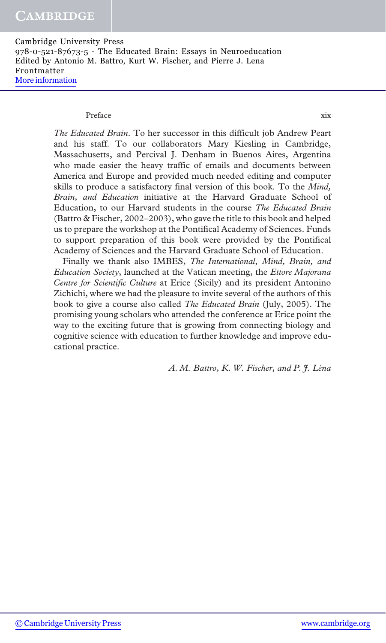#### Preface xix

The Educated Brain. To her successor in this difficult job Andrew Peart and his staff. To our collaborators Mary Kiesling in Cambridge, Massachusetts, and Percival J. Denham in Buenos Aires, Argentina who made easier the heavy traffic of emails and documents between America and Europe and provided much needed editing and computer skills to produce a satisfactory final version of this book. To the Mind, Brain, and Education initiative at the Harvard Graduate School of Education, to our Harvard students in the course The Educated Brain (Battro & Fischer, 2002–2003), who gave the title to this book and helped us to prepare the workshop at the Pontifical Academy of Sciences. Funds to support preparation of this book were provided by the Pontifical Academy of Sciences and the Harvard Graduate School of Education.

Finally we thank also IMBES, The International, Mind, Brain, and Education Society, launched at the Vatican meeting, the Ettore Majorana Centre for Scientific Culture at Erice (Sicily) and its president Antonino Zichichi, where we had the pleasure to invite several of the authors of this book to give a course also called The Educated Brain (July, 2005). The promising young scholars who attended the conference at Erice point the way to the exciting future that is growing from connecting biology and cognitive science with education to further knowledge and improve educational practice.

A. M. Battro, K. W. Fischer, and P. J. Léna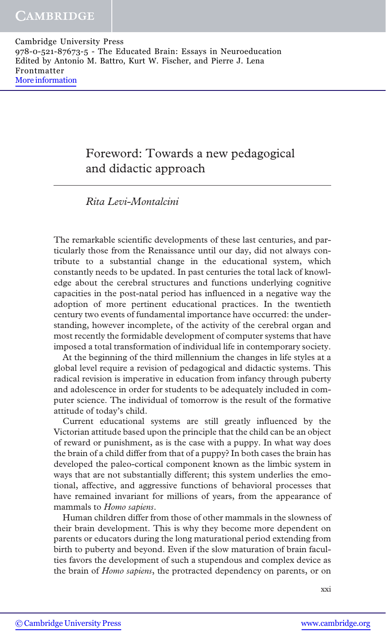# Foreword: Towards a new pedagogical and didactic approach

### Rita Levi-Montalcini

The remarkable scientific developments of these last centuries, and particularly those from the Renaissance until our day, did not always contribute to a substantial change in the educational system, which constantly needs to be updated. In past centuries the total lack of knowledge about the cerebral structures and functions underlying cognitive capacities in the post-natal period has influenced in a negative way the adoption of more pertinent educational practices. In the twentieth century two events of fundamental importance have occurred: the understanding, however incomplete, of the activity of the cerebral organ and most recently the formidable development of computer systems that have imposed a total transformation of individual life in contemporary society.

At the beginning of the third millennium the changes in life styles at a global level require a revision of pedagogical and didactic systems. This radical revision is imperative in education from infancy through puberty and adolescence in order for students to be adequately included in computer science. The individual of tomorrow is the result of the formative attitude of today's child.

Current educational systems are still greatly influenced by the Victorian attitude based upon the principle that the child can be an object of reward or punishment, as is the case with a puppy. In what way does the brain of a child differ from that of a puppy? In both cases the brain has developed the paleo-cortical component known as the limbic system in ways that are not substantially different; this system underlies the emotional, affective, and aggressive functions of behavioral processes that have remained invariant for millions of years, from the appearance of mammals to Homo sapiens.

Human children differ from those of other mammals in the slowness of their brain development. This is why they become more dependent on parents or educators during the long maturational period extending from birth to puberty and beyond. Even if the slow maturation of brain faculties favors the development of such a stupendous and complex device as the brain of Homo sapiens, the protracted dependency on parents, or on

xxi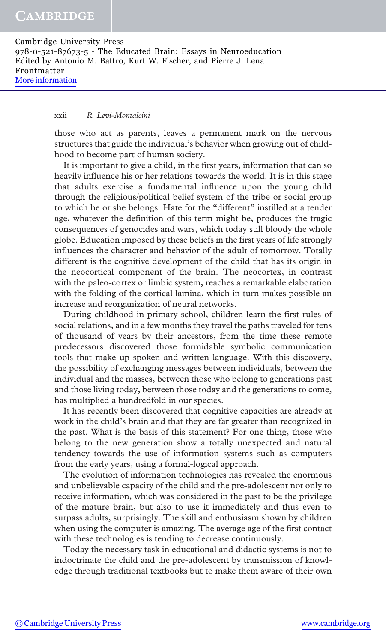### xxii R. Levi-Montalcini

those who act as parents, leaves a permanent mark on the nervous structures that guide the individual's behavior when growing out of childhood to become part of human society.

It is important to give a child, in the first years, information that can so heavily influence his or her relations towards the world. It is in this stage that adults exercise a fundamental influence upon the young child through the religious/political belief system of the tribe or social group to which he or she belongs. Hate for the ''different'' instilled at a tender age, whatever the definition of this term might be, produces the tragic consequences of genocides and wars, which today still bloody the whole globe. Education imposed by these beliefs in the first years of life strongly influences the character and behavior of the adult of tomorrow. Totally different is the cognitive development of the child that has its origin in the neocortical component of the brain. The neocortex, in contrast with the paleo-cortex or limbic system, reaches a remarkable elaboration with the folding of the cortical lamina, which in turn makes possible an increase and reorganization of neural networks.

During childhood in primary school, children learn the first rules of social relations, and in a few months they travel the paths traveled for tens of thousand of years by their ancestors, from the time these remote predecessors discovered those formidable symbolic communication tools that make up spoken and written language. With this discovery, the possibility of exchanging messages between individuals, between the individual and the masses, between those who belong to generations past and those living today, between those today and the generations to come, has multiplied a hundredfold in our species.

It has recently been discovered that cognitive capacities are already at work in the child's brain and that they are far greater than recognized in the past. What is the basis of this statement? For one thing, those who belong to the new generation show a totally unexpected and natural tendency towards the use of information systems such as computers from the early years, using a formal-logical approach.

The evolution of information technologies has revealed the enormous and unbelievable capacity of the child and the pre-adolescent not only to receive information, which was considered in the past to be the privilege of the mature brain, but also to use it immediately and thus even to surpass adults, surprisingly. The skill and enthusiasm shown by children when using the computer is amazing. The average age of the first contact with these technologies is tending to decrease continuously.

Today the necessary task in educational and didactic systems is not to indoctrinate the child and the pre-adolescent by transmission of knowledge through traditional textbooks but to make them aware of their own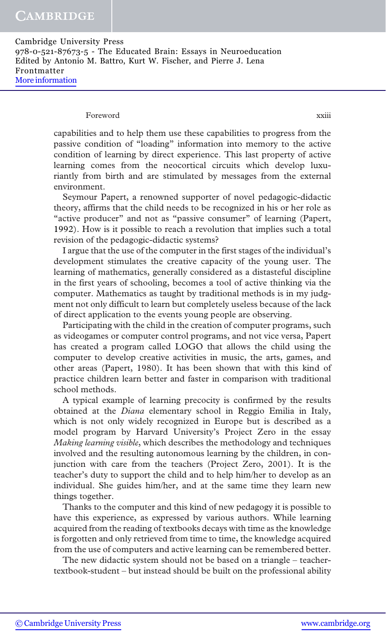#### Foreword xxiii

environment.

capabilities and to help them use these capabilities to progress from the passive condition of ''loading'' information into memory to the active condition of learning by direct experience. This last property of active learning comes from the neocortical circuits which develop luxu-

Seymour Papert, a renowned supporter of novel pedagogic-didactic theory, affirms that the child needs to be recognized in his or her role as "active producer" and not as "passive consumer" of learning (Papert, 1992). How is it possible to reach a revolution that implies such a total revision of the pedagogic-didactic systems?

riantly from birth and are stimulated by messages from the external

I argue that the use of the computer in the first stages of the individual's development stimulates the creative capacity of the young user. The learning of mathematics, generally considered as a distasteful discipline in the first years of schooling, becomes a tool of active thinking via the computer. Mathematics as taught by traditional methods is in my judgment not only difficult to learn but completely useless because of the lack of direct application to the events young people are observing.

Participating with the child in the creation of computer programs, such as videogames or computer control programs, and not vice versa, Papert has created a program called LOGO that allows the child using the computer to develop creative activities in music, the arts, games, and other areas (Papert, 1980). It has been shown that with this kind of practice children learn better and faster in comparison with traditional school methods.

A typical example of learning precocity is confirmed by the results obtained at the Diana elementary school in Reggio Emilia in Italy, which is not only widely recognized in Europe but is described as a model program by Harvard University's Project Zero in the essay Making learning visible, which describes the methodology and techniques involved and the resulting autonomous learning by the children, in conjunction with care from the teachers (Project Zero, 2001). It is the teacher's duty to support the child and to help him/her to develop as an individual. She guides him/her, and at the same time they learn new things together.

Thanks to the computer and this kind of new pedagogy it is possible to have this experience, as expressed by various authors. While learning acquired from the reading of textbooks decays with time as the knowledge is forgotten and only retrieved from time to time, the knowledge acquired from the use of computers and active learning can be remembered better.

The new didactic system should not be based on a triangle – teachertextbook-student – but instead should be built on the professional ability